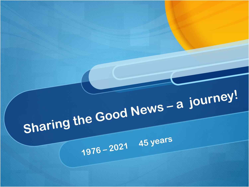# Sharing the Good News - a journey!

1976 - 2021 45 years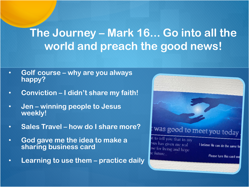## **The Journey – Mark 16... Go into all the world and preach the good news!**

- **Golf course – why are you always happy?**
- **Conviction – I didn't share my faith!**
- **Jen – winning people to Jesus weekly!**
- **Sales Travel – how do I share more?**
- **God gave me the idea to make a sharing business card**
- **Learning to use them – practice daily**

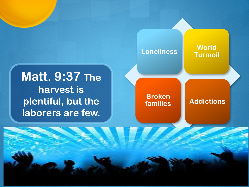## **Matt. 9:37 The harvest is plentiful, but the laborers are few.**

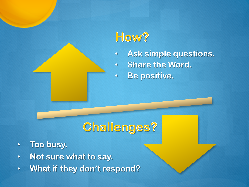## How?

- **Ask simple questions.**
- **Share the Word.**
- **Be positive.**

## **Challenges?**

- **Too busy.**
- **Not sure what to say.**
- **What if they don't respond?**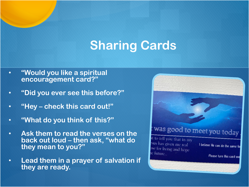## **Sharing Cards**

- **"Would you like a spiritual encouragement card?"**
- **"Did you ever see this before?"**
- **"Hey – check this card out!"**
- **"What do you think of this?"**
- **Ask them to read the verses on the back out loud – then ask, "what do they mean to you?"**
- **Lead them in a prayer of salvation if they are ready.**

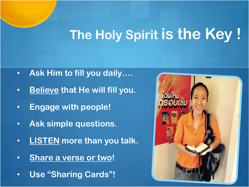## **The Holy Spirit is the Key !**

- **Ask Him to fill you daily….**
- **Believe that He will fill you.**
- **Engage with people!**
- **Ask simple questions.**
- **LISTEN more than you talk.**
- **Share a verse or two!**
- **Use "Sharing Cards"!**

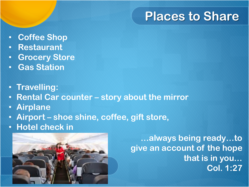## **Places to Share**

- **Coffee Shop**
- **Restaurant**
- **Grocery Store**
- **Gas Station**
- **Travelling:**
- **Rental Car counter – story about the mirror**
- **Airplane**
- **Airport – shoe shine, coffee, gift store,**
- **Hotel check in**



**…always being ready…to give an account of the hope that is in you… Col. 1:27**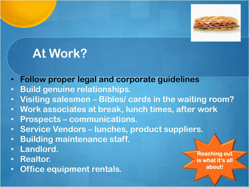

## **At Work?**

- **Follow proper legal and corporate guidelines**
- **Build genuine relationships.**
- **Visiting salesmen – Bibles/ cards in the waiting room?**
- **Work associates at break, lunch times, after work**
- **Prospects – communications.**
- **Service Vendors – lunches, product suppliers.**
- **Building maintenance staff.**
- **Landlord.**
- **Realtor.**
- **Office equipment rentals.**

**Reaching out is what it's all about!**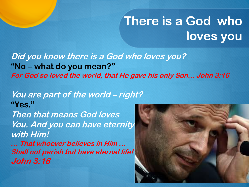## **There is a God who loves you**

**Did you know there is a God who loves you? "No – what do you mean?" For God so loved the world, that He gave his only Son... John 3:16**

#### **You are part of the world – right? "Yes."**

**Then that means God loves You. And you can have eternity with Him!**

**… That whoever believes in Him … Shall not perish but have eternal life! John 3:16**